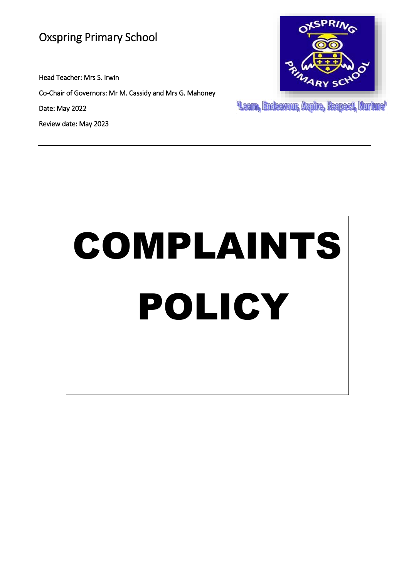## Oxspring Primary School

Head Teacher: Mrs S. Irwin

Co-Chair of Governors: Mr M. Cassidy and Mrs G. Mahoney

Date: May 2022

Review date: May 2023



"Learn, Endeavour, Aspire, Respect, Nurture"

# COMPLAINTS POLICY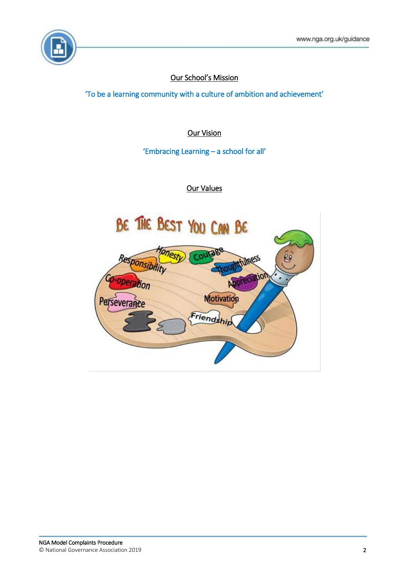

### Our School's Mission

'To be a learning community with a culture of ambition and achievement'

Our Vision

'Embracing Learning – a school for all'

### Our Values

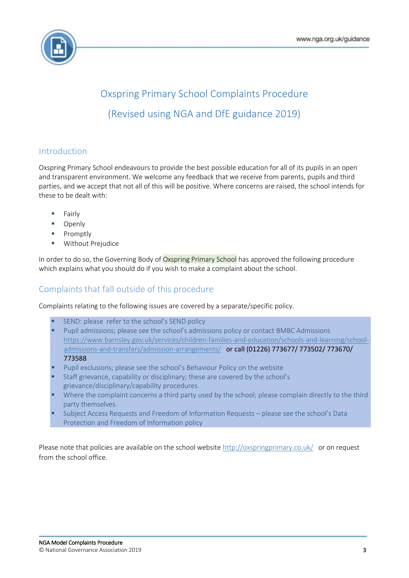

# Oxspring Primary School Complaints Procedure (Revised using NGA and DfE guidance 2019)

### Introduction

Oxspring Primary School endeavours to provide the best possible education for all of its pupils in an open and transparent environment. We welcome any feedback that we receive from parents, pupils and third parties, and we accept that not all of this will be positive. Where concerns are raised, the school intends for these to be dealt with:

- Fairly
- **D** Openly
- **Promptly**
- **Without Prejudice**

In order to do so, the Governing Body of Oxspring Primary School has approved the following procedure which explains what you should do if you wish to make a complaint about the school.

### Complaints that fall outside of this procedure

Complaints relating to the following issues are covered by a separate/specific policy.

- SEND: please refer to the school's SEND policy
- Pupil admissions; please see the school's admissions policy or contact BMBC Admissions [https://www.barnsley.gov.uk/services/children-families-and-education/schools-and-learning/school](https://www.barnsley.gov.uk/services/children-families-and-education/schools-and-learning/school-admissions-and-transfers/admission-arrangements/)[admissions-and-transfers/admission-arrangements/](https://www.barnsley.gov.uk/services/children-families-and-education/schools-and-learning/school-admissions-and-transfers/admission-arrangements/) or call (01226) 773677/ 773502/ 773670/ 773588
- Pupil exclusions; please see the school's Behaviour Policy on the website
- Staff grievance, capability or disciplinary; these are covered by the school's grievance/disciplinary/capability procedures.
- Where the complaint concerns a third party used by the school; please complain directly to the third party themselves.
- Subject Access Requests and Freedom of Information Requests please see the school's Data Protection and Freedom of Information policy

Please note that policies are available on the school website <http://oxspringprimary.co.uk/> or on request from the school office.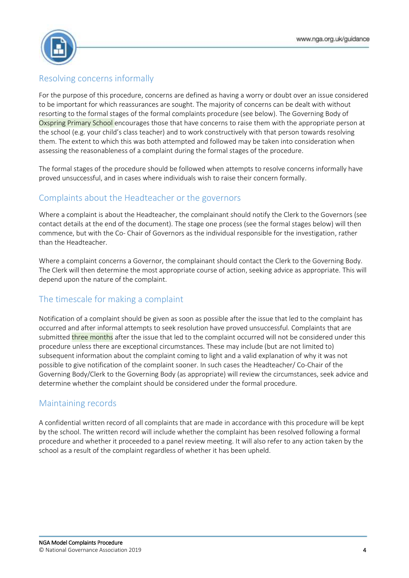

### Resolving concerns informally

For the purpose of this procedure, concerns are defined as having a worry or doubt over an issue considered to be important for which reassurances are sought. The majority of concerns can be dealt with without resorting to the formal stages of the formal complaints procedure (see below). The Governing Body of Oxspring Primary School encourages those that have concerns to raise them with the appropriate person at the school (e.g. your child's class teacher) and to work constructively with that person towards resolving them. The extent to which this was both attempted and followed may be taken into consideration when assessing the reasonableness of a complaint during the formal stages of the procedure.

The formal stages of the procedure should be followed when attempts to resolve concerns informally have proved unsuccessful, and in cases where individuals wish to raise their concern formally.

### Complaints about the Headteacher or the governors

Where a complaint is about the Headteacher, the complainant should notify the Clerk to the Governors (see contact details at the end of the document). The stage one process (see the formal stages below) will then commence, but with the Co- Chair of Governors as the individual responsible for the investigation, rather than the Headteacher.

Where a complaint concerns a Governor, the complainant should contact the Clerk to the Governing Body. The Clerk will then determine the most appropriate course of action, seeking advice as appropriate. This will depend upon the nature of the complaint.

### The timescale for making a complaint

Notification of a complaint should be given as soon as possible after the issue that led to the complaint has occurred and after informal attempts to seek resolution have proved unsuccessful. Complaints that are submitted three months after the issue that led to the complaint occurred will not be considered under this procedure unless there are exceptional circumstances. These may include (but are not limited to) subsequent information about the complaint coming to light and a valid explanation of why it was not possible to give notification of the complaint sooner. In such cases the Headteacher/ Co-Chair of the Governing Body/Clerk to the Governing Body (as appropriate) will review the circumstances, seek advice and determine whether the complaint should be considered under the formal procedure.

### Maintaining records

A confidential written record of all complaints that are made in accordance with this procedure will be kept by the school. The written record will include whether the complaint has been resolved following a formal procedure and whether it proceeded to a panel review meeting. It will also refer to any action taken by the school as a result of the complaint regardless of whether it has been upheld.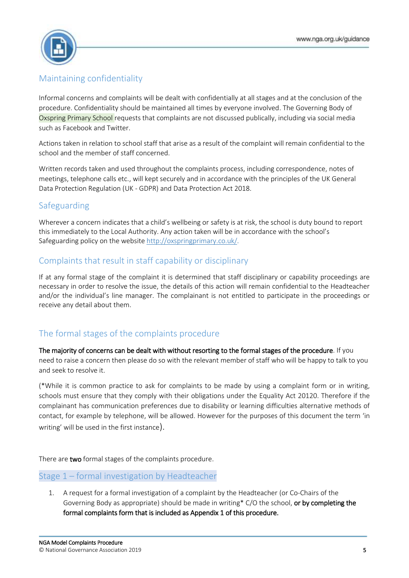

### Maintaining confidentiality

Informal concerns and complaints will be dealt with confidentially at all stages and at the conclusion of the procedure. Confidentiality should be maintained all times by everyone involved. The Governing Body of Oxspring Primary School requests that complaints are not discussed publically, including via social media such as Facebook and Twitter.

Actions taken in relation to school staff that arise as a result of the complaint will remain confidential to the school and the member of staff concerned.

Written records taken and used throughout the complaints process, including correspondence, notes of meetings, telephone calls etc., will kept securely and in accordance with the principles of the UK General Data Protection Regulation (UK - GDPR) and Data Protection Act 2018.

### Safeguarding

Wherever a concern indicates that a child's wellbeing or safety is at risk, the school is duty bound to report this immediately to the Local Authority. Any action taken will be in accordance with the school's Safeguarding policy on the websit[e http://oxspringprimary.co.uk/.](http://oxspringprimary.co.uk/)

### Complaints that result in staff capability or disciplinary

If at any formal stage of the complaint it is determined that staff disciplinary or capability proceedings are necessary in order to resolve the issue, the details of this action will remain confidential to the Headteacher and/or the individual's line manager. The complainant is not entitled to participate in the proceedings or receive any detail about them.

### The formal stages of the complaints procedure

The majority of concerns can be dealt with without resorting to the formal stages of the procedure. If you need to raise a concern then please do so with the relevant member of staff who will be happy to talk to you and seek to resolve it.

(\*While it is common practice to ask for complaints to be made by using a complaint form or in writing, schools must ensure that they comply with their obligations under the Equality Act 20120. Therefore if the complainant has communication preferences due to disability or learning difficulties alternative methods of contact, for example by telephone, will be allowed. However for the purposes of this document the term 'in writing' will be used in the first instance).

There are two formal stages of the complaints procedure.

### Stage 1 – formal investigation by Headteacher

1. A request for a formal investigation of a complaint by the Headteacher (or Co-Chairs of the Governing Body as appropriate) should be made in writing\* C/O the school, or by completing the formal complaints form that is included as Appendix 1 of this procedure.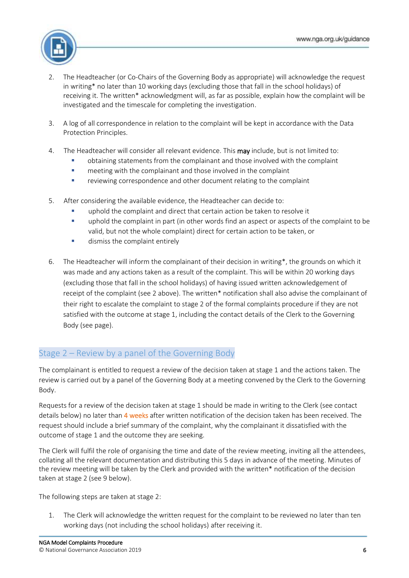

- 2. The Headteacher (or Co-Chairs of the Governing Body as appropriate) will acknowledge the request in writing\* no later than 10 working days (excluding those that fall in the school holidays) of receiving it. The written\* acknowledgment will, as far as possible, explain how the complaint will be investigated and the timescale for completing the investigation.
- 3. A log of all correspondence in relation to the complaint will be kept in accordance with the Data Protection Principles.
- 4. The Headteacher will consider all relevant evidence. This **may** include, but is not limited to:
	- obtaining statements from the complainant and those involved with the complaint
	- **EXECT** meeting with the complainant and those involved in the complaint
	- **•** reviewing correspondence and other document relating to the complaint
- 5. After considering the available evidence, the Headteacher can decide to:
	- uphold the complaint and direct that certain action be taken to resolve it
	- **•** uphold the complaint in part (in other words find an aspect or aspects of the complaint to be valid, but not the whole complaint) direct for certain action to be taken, or
	- **dismiss the complaint entirely**
- 6. The Headteacher will inform the complainant of their decision in writing\*, the grounds on which it was made and any actions taken as a result of the complaint. This will be within 20 working days (excluding those that fall in the school holidays) of having issued written acknowledgement of receipt of the complaint (see 2 above). The written\* notification shall also advise the complainant of their right to escalate the complaint to stage 2 of the formal complaints procedure if they are not satisfied with the outcome at stage 1, including the contact details of the Clerk to the Governing Body (see page).

### Stage 2 – Review by a panel of the Governing Body

The complainant is entitled to request a review of the decision taken at stage 1 and the actions taken. The review is carried out by a panel of the Governing Body at a meeting convened by the Clerk to the Governing Body.

Requests for a review of the decision taken at stage 1 should be made in writing to the Clerk (see contact details below) no later than 4 weeks after written notification of the decision taken has been received. The request should include a brief summary of the complaint, why the complainant it dissatisfied with the outcome of stage 1 and the outcome they are seeking.

The Clerk will fulfil the role of organising the time and date of the review meeting, inviting all the attendees, collating all the relevant documentation and distributing this 5 days in advance of the meeting. Minutes of the review meeting will be taken by the Clerk and provided with the written\* notification of the decision taken at stage 2 (see 9 below).

The following steps are taken at stage 2:

1. The Clerk will acknowledge the written request for the complaint to be reviewed no later than ten working days (not including the school holidays) after receiving it.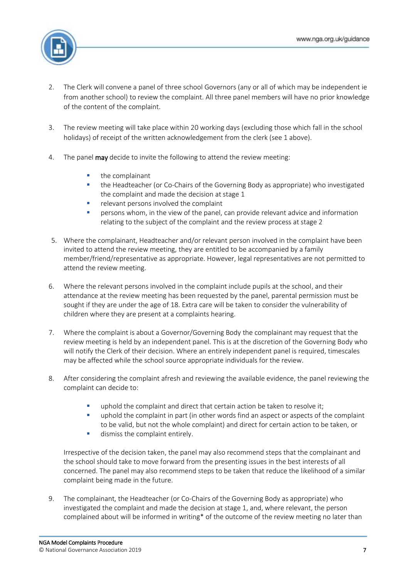

- 2. The Clerk will convene a panel of three school Governors (any or all of which may be independent ie from another school) to review the complaint. All three panel members will have no prior knowledge of the content of the complaint.
- 3. The review meeting will take place within 20 working days (excluding those which fall in the school holidays) of receipt of the written acknowledgement from the clerk (see 1 above).
- 4. The panel may decide to invite the following to attend the review meeting:
	- $\blacksquare$  the complainant
	- the Headteacher (or Co-Chairs of the Governing Body as appropriate) who investigated the complaint and made the decision at stage 1
	- relevant persons involved the complaint
	- **Persons whom, in the view of the panel, can provide relevant advice and information** relating to the subject of the complaint and the review process at stage 2
- 5. Where the complainant, Headteacher and/or relevant person involved in the complaint have been invited to attend the review meeting, they are entitled to be accompanied by a family member/friend/representative as appropriate. However, legal representatives are not permitted to attend the review meeting.
- 6. Where the relevant persons involved in the complaint include pupils at the school, and their attendance at the review meeting has been requested by the panel, parental permission must be sought if they are under the age of 18. Extra care will be taken to consider the vulnerability of children where they are present at a complaints hearing.
- 7. Where the complaint is about a Governor/Governing Body the complainant may request that the review meeting is held by an independent panel. This is at the discretion of the Governing Body who will notify the Clerk of their decision. Where an entirely independent panel is required, timescales may be affected while the school source appropriate individuals for the review.
- 8. After considering the complaint afresh and reviewing the available evidence, the panel reviewing the complaint can decide to:
	- uphold the complaint and direct that certain action be taken to resolve it;
	- uphold the complaint in part (in other words find an aspect or aspects of the complaint to be valid, but not the whole complaint) and direct for certain action to be taken, or
	- **dismiss the complaint entirely.**

Irrespective of the decision taken, the panel may also recommend steps that the complainant and the school should take to move forward from the presenting issues in the best interests of all concerned. The panel may also recommend steps to be taken that reduce the likelihood of a similar complaint being made in the future.

9. The complainant, the Headteacher (or Co-Chairs of the Governing Body as appropriate) who investigated the complaint and made the decision at stage 1, and, where relevant, the person complained about will be informed in writing\* of the outcome of the review meeting no later than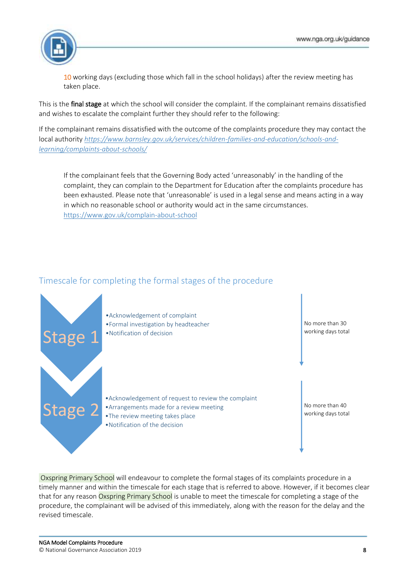

10 working days (excluding those which fall in the school holidays) after the review meeting has taken place.

This is the **final stage** at which the school will consider the complaint. If the complainant remains dissatisfied and wishes to escalate the complaint further they should refer to the following:

If the complainant remains dissatisfied with the outcome of the complaints procedure they may contact the local authority *[https://www.barnsley.gov.uk/services/children-families-and-education/schools-and](https://www.barnsley.gov.uk/services/children-families-and-education/schools-and-learning/complaints-about-schools/)[learning/complaints-about-schools/](https://www.barnsley.gov.uk/services/children-families-and-education/schools-and-learning/complaints-about-schools/)*

If the complainant feels that the Governing Body acted 'unreasonably' in the handling of the complaint, they can complain to the Department for Education after the complaints procedure has been exhausted. Please note that 'unreasonable' is used in a legal sense and means acting in a way in which no reasonable school or authority would act in the same circumstances. <https://www.gov.uk/complain-about-school>

### Timescale for completing the formal stages of the procedure



Oxspring Primary School will endeavour to complete the formal stages of its complaints procedure in a timely manner and within the timescale for each stage that is referred to above. However, if it becomes clear that for any reason Oxspring Primary School is unable to meet the timescale for completing a stage of the procedure, the complainant will be advised of this immediately, along with the reason for the delay and the revised timescale.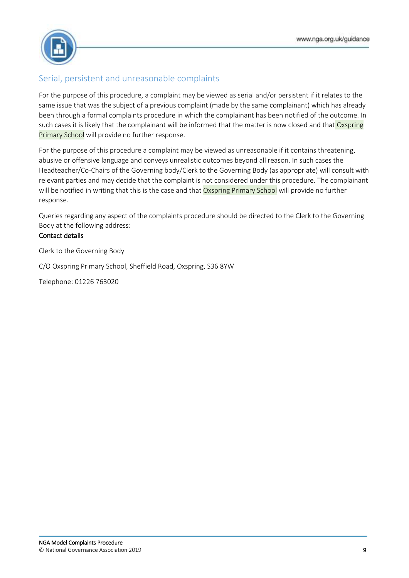

### Serial, persistent and unreasonable complaints

For the purpose of this procedure, a complaint may be viewed as serial and/or persistent if it relates to the same issue that was the subject of a previous complaint (made by the same complainant) which has already been through a formal complaints procedure in which the complainant has been notified of the outcome. In such cases it is likely that the complainant will be informed that the matter is now closed and that Oxspring Primary School will provide no further response.

For the purpose of this procedure a complaint may be viewed as unreasonable if it contains threatening, abusive or offensive language and conveys unrealistic outcomes beyond all reason. In such cases the Headteacher/Co-Chairs of the Governing body/Clerk to the Governing Body (as appropriate) will consult with relevant parties and may decide that the complaint is not considered under this procedure. The complainant will be notified in writing that this is the case and that Oxspring Primary School will provide no further response.

Queries regarding any aspect of the complaints procedure should be directed to the Clerk to the Governing Body at the following address:

### Contact details

Clerk to the Governing Body

C/O Oxspring Primary School, Sheffield Road, Oxspring, S36 8YW

Telephone: 01226 763020